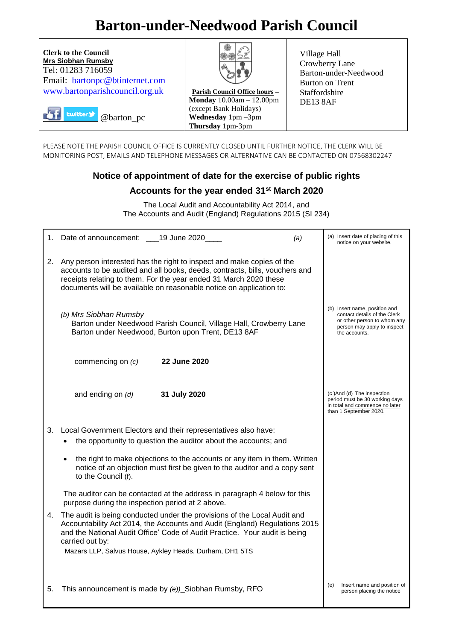# **Barton-under-Needwood Parish Council**



PLEASE NOTE THE PARISH COUNCIL OFFICE IS CURRENTLY CLOSED UNTIL FURTHER NOTICE, THE CLERK WILL BE MONITORING POST, EMAILS AND TELEPHONE MESSAGES OR ALTERNATIVE CAN BE CONTACTED ON 07568302247

## **Notice of appointment of date for the exercise of public rights**

## **Accounts for the year ended 31st March 2020**

The Local Audit and Accountability Act 2014, and The Accounts and Audit (England) Regulations 2015 (SI 234)

| 1. | Date of announcement: 19 June 2020<br>(a)                                                                                                                                                                                                                                                                          | (a) Insert date of placing of this<br>notice on your website.                                                                                |
|----|--------------------------------------------------------------------------------------------------------------------------------------------------------------------------------------------------------------------------------------------------------------------------------------------------------------------|----------------------------------------------------------------------------------------------------------------------------------------------|
| 2. | Any person interested has the right to inspect and make copies of the<br>accounts to be audited and all books, deeds, contracts, bills, vouchers and<br>receipts relating to them. For the year ended 31 March 2020 these<br>documents will be available on reasonable notice on application to:                   |                                                                                                                                              |
|    | (b) Mrs Siobhan Rumsby<br>Barton under Needwood Parish Council, Village Hall, Crowberry Lane<br>Barton under Needwood, Burton upon Trent, DE13 8AF                                                                                                                                                                 | (b) Insert name, position and<br>contact details of the Clerk<br>or other person to whom any<br>person may apply to inspect<br>the accounts. |
|    | 22 June 2020<br>commencing on (c)                                                                                                                                                                                                                                                                                  |                                                                                                                                              |
|    | and ending on $(d)$<br>31 July 2020                                                                                                                                                                                                                                                                                | (c)And (d) The inspection<br>period must be 30 working days<br>in total and commence no later<br>than 1 September 2020.                      |
| 3. | Local Government Electors and their representatives also have:<br>the opportunity to question the auditor about the accounts; and                                                                                                                                                                                  |                                                                                                                                              |
|    | the right to make objections to the accounts or any item in them. Written<br>$\bullet$<br>notice of an objection must first be given to the auditor and a copy sent<br>to the Council (f).                                                                                                                         |                                                                                                                                              |
|    | The auditor can be contacted at the address in paragraph 4 below for this<br>purpose during the inspection period at 2 above.                                                                                                                                                                                      |                                                                                                                                              |
| 4. | The audit is being conducted under the provisions of the Local Audit and<br>Accountability Act 2014, the Accounts and Audit (England) Regulations 2015<br>and the National Audit Office' Code of Audit Practice. Your audit is being<br>carried out by:<br>Mazars LLP, Salvus House, Aykley Heads, Durham, DH1 5TS |                                                                                                                                              |
| 5. | This announcement is made by (e))_Siobhan Rumsby, RFO                                                                                                                                                                                                                                                              | Insert name and position of<br>(e)<br>person placing the notice                                                                              |